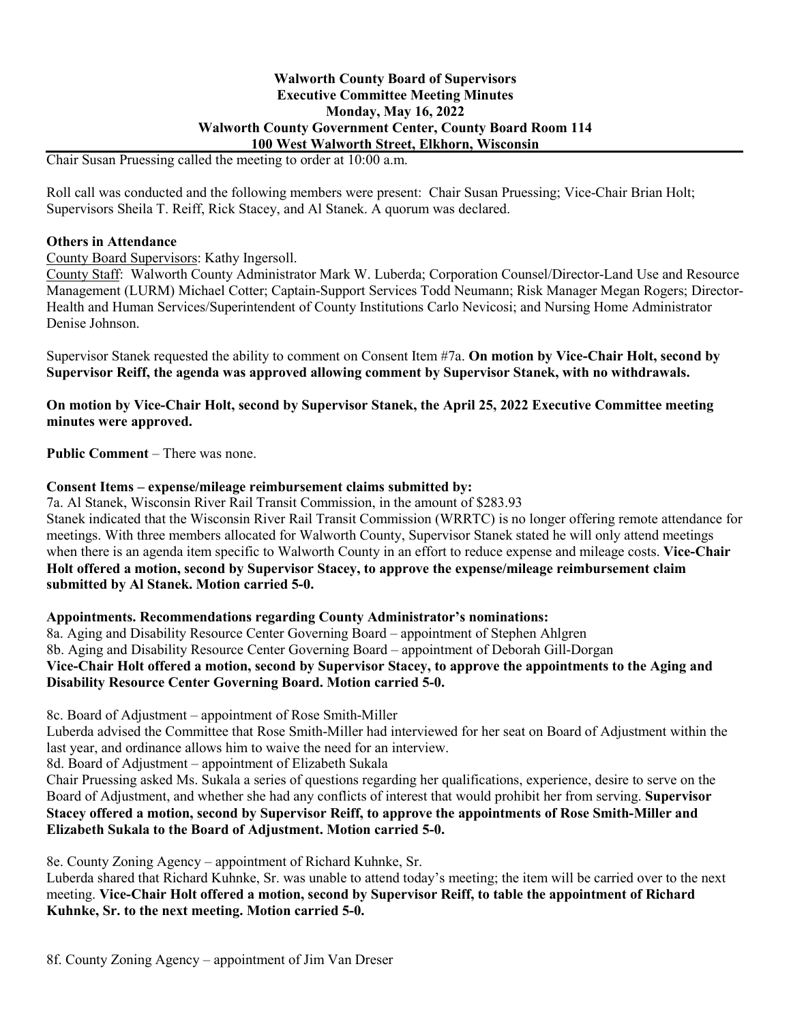# **Walworth County Board of Supervisors Executive Committee Meeting Minutes Monday, May 16, 2022 Walworth County Government Center, County Board Room 114 100 West Walworth Street, Elkhorn, Wisconsin**

Chair Susan Pruessing called the meeting to order at 10:00 a.m.

Roll call was conducted and the following members were present: Chair Susan Pruessing; Vice-Chair Brian Holt; Supervisors Sheila T. Reiff, Rick Stacey, and Al Stanek. A quorum was declared.

#### **Others in Attendance**

#### County Board Supervisors: Kathy Ingersoll.

County Staff: Walworth County Administrator Mark W. Luberda; Corporation Counsel/Director-Land Use and Resource Management (LURM) Michael Cotter; Captain-Support Services Todd Neumann; Risk Manager Megan Rogers; Director-Health and Human Services/Superintendent of County Institutions Carlo Nevicosi; and Nursing Home Administrator Denise Johnson.

Supervisor Stanek requested the ability to comment on Consent Item #7a. **On motion by Vice-Chair Holt, second by Supervisor Reiff, the agenda was approved allowing comment by Supervisor Stanek, with no withdrawals.** 

**On motion by Vice-Chair Holt, second by Supervisor Stanek, the April 25, 2022 Executive Committee meeting minutes were approved.**

**Public Comment** – There was none.

#### **Consent Items – expense/mileage reimbursement claims submitted by:**

7a. Al Stanek, Wisconsin River Rail Transit Commission, in the amount of \$283.93 Stanek indicated that the Wisconsin River Rail Transit Commission (WRRTC) is no longer offering remote attendance for meetings. With three members allocated for Walworth County, Supervisor Stanek stated he will only attend meetings when there is an agenda item specific to Walworth County in an effort to reduce expense and mileage costs. **Vice-Chair Holt offered a motion, second by Supervisor Stacey, to approve the expense/mileage reimbursement claim submitted by Al Stanek. Motion carried 5-0.**

#### **Appointments. Recommendations regarding County Administrator's nominations:**

8a. Aging and Disability Resource Center Governing Board – appointment of Stephen Ahlgren 8b. Aging and Disability Resource Center Governing Board – appointment of Deborah Gill-Dorgan **Vice-Chair Holt offered a motion, second by Supervisor Stacey, to approve the appointments to the Aging and Disability Resource Center Governing Board. Motion carried 5-0.** 

8c. Board of Adjustment – appointment of Rose Smith-Miller

Luberda advised the Committee that Rose Smith-Miller had interviewed for her seat on Board of Adjustment within the last year, and ordinance allows him to waive the need for an interview.

8d. Board of Adjustment – appointment of Elizabeth Sukala

Chair Pruessing asked Ms. Sukala a series of questions regarding her qualifications, experience, desire to serve on the Board of Adjustment, and whether she had any conflicts of interest that would prohibit her from serving. **Supervisor Stacey offered a motion, second by Supervisor Reiff, to approve the appointments of Rose Smith-Miller and Elizabeth Sukala to the Board of Adjustment. Motion carried 5-0.** 

8e. County Zoning Agency – appointment of Richard Kuhnke, Sr.

Luberda shared that Richard Kuhnke, Sr. was unable to attend today's meeting; the item will be carried over to the next meeting. **Vice-Chair Holt offered a motion, second by Supervisor Reiff, to table the appointment of Richard Kuhnke, Sr. to the next meeting. Motion carried 5-0.**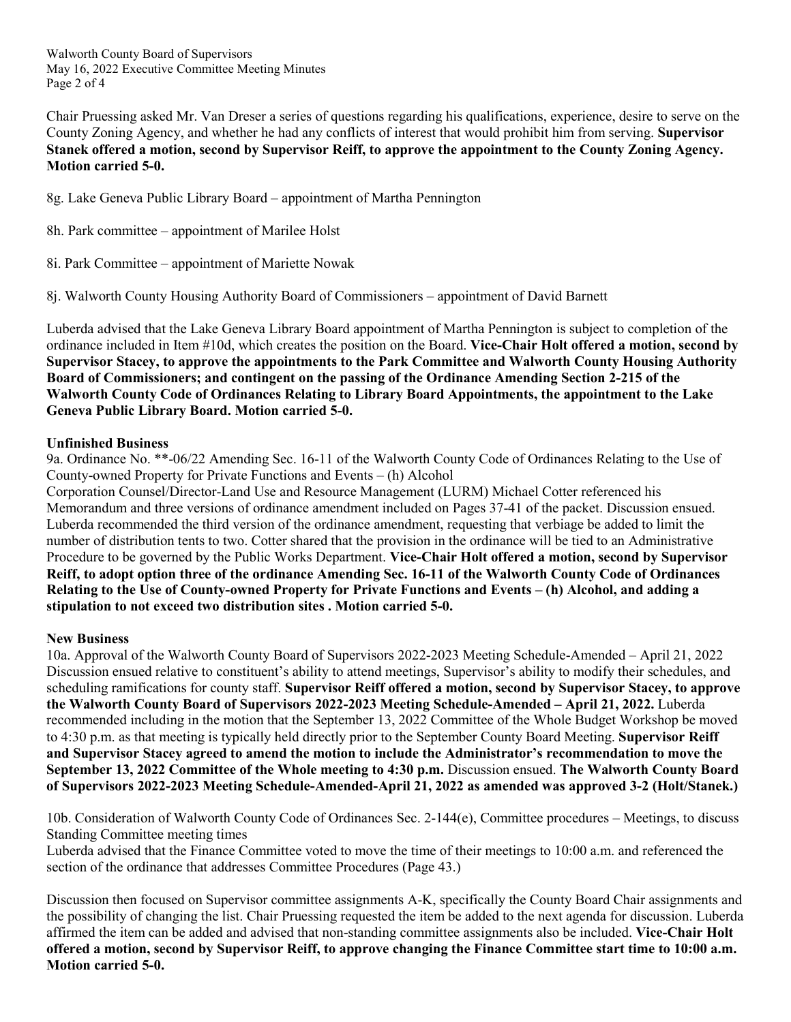Walworth County Board of Supervisors May 16, 2022 Executive Committee Meeting Minutes Page 2 of 4

Chair Pruessing asked Mr. Van Dreser a series of questions regarding his qualifications, experience, desire to serve on the County Zoning Agency, and whether he had any conflicts of interest that would prohibit him from serving. **Supervisor Stanek offered a motion, second by Supervisor Reiff, to approve the appointment to the County Zoning Agency. Motion carried 5-0.**

8g. Lake Geneva Public Library Board – appointment of Martha Pennington

- 8h. Park committee appointment of Marilee Holst
- 8i. Park Committee appointment of Mariette Nowak

8j. Walworth County Housing Authority Board of Commissioners – appointment of David Barnett

Luberda advised that the Lake Geneva Library Board appointment of Martha Pennington is subject to completion of the ordinance included in Item #10d, which creates the position on the Board. **Vice-Chair Holt offered a motion, second by Supervisor Stacey, to approve the appointments to the Park Committee and Walworth County Housing Authority Board of Commissioners; and contingent on the passing of the Ordinance Amending Section 2-215 of the Walworth County Code of Ordinances Relating to Library Board Appointments, the appointment to the Lake Geneva Public Library Board. Motion carried 5-0.**

## **Unfinished Business**

9a. Ordinance No. \*\*-06/22 Amending Sec. 16-11 of the Walworth County Code of Ordinances Relating to the Use of County-owned Property for Private Functions and Events – (h) Alcohol

Corporation Counsel/Director-Land Use and Resource Management (LURM) Michael Cotter referenced his Memorandum and three versions of ordinance amendment included on Pages 37-41 of the packet. Discussion ensued. Luberda recommended the third version of the ordinance amendment, requesting that verbiage be added to limit the number of distribution tents to two. Cotter shared that the provision in the ordinance will be tied to an Administrative Procedure to be governed by the Public Works Department. **Vice-Chair Holt offered a motion, second by Supervisor Reiff, to adopt option three of the ordinance Amending Sec. 16-11 of the Walworth County Code of Ordinances Relating to the Use of County-owned Property for Private Functions and Events – (h) Alcohol, and adding a stipulation to not exceed two distribution sites . Motion carried 5-0.**

## **New Business**

10a. Approval of the Walworth County Board of Supervisors 2022-2023 Meeting Schedule-Amended – April 21, 2022 Discussion ensued relative to constituent's ability to attend meetings, Supervisor's ability to modify their schedules, and scheduling ramifications for county staff. **Supervisor Reiff offered a motion, second by Supervisor Stacey, to approve the Walworth County Board of Supervisors 2022-2023 Meeting Schedule-Amended – April 21, 2022.** Luberda recommended including in the motion that the September 13, 2022 Committee of the Whole Budget Workshop be moved to 4:30 p.m. as that meeting is typically held directly prior to the September County Board Meeting. **Supervisor Reiff and Supervisor Stacey agreed to amend the motion to include the Administrator's recommendation to move the September 13, 2022 Committee of the Whole meeting to 4:30 p.m.** Discussion ensued. **The Walworth County Board of Supervisors 2022-2023 Meeting Schedule-Amended-April 21, 2022 as amended was approved 3-2 (Holt/Stanek.)**

10b. Consideration of Walworth County Code of Ordinances Sec. 2-144(e), Committee procedures – Meetings, to discuss Standing Committee meeting times

Luberda advised that the Finance Committee voted to move the time of their meetings to 10:00 a.m. and referenced the section of the ordinance that addresses Committee Procedures (Page 43.)

Discussion then focused on Supervisor committee assignments A-K, specifically the County Board Chair assignments and the possibility of changing the list. Chair Pruessing requested the item be added to the next agenda for discussion. Luberda affirmed the item can be added and advised that non-standing committee assignments also be included. **Vice-Chair Holt offered a motion, second by Supervisor Reiff, to approve changing the Finance Committee start time to 10:00 a.m. Motion carried 5-0.**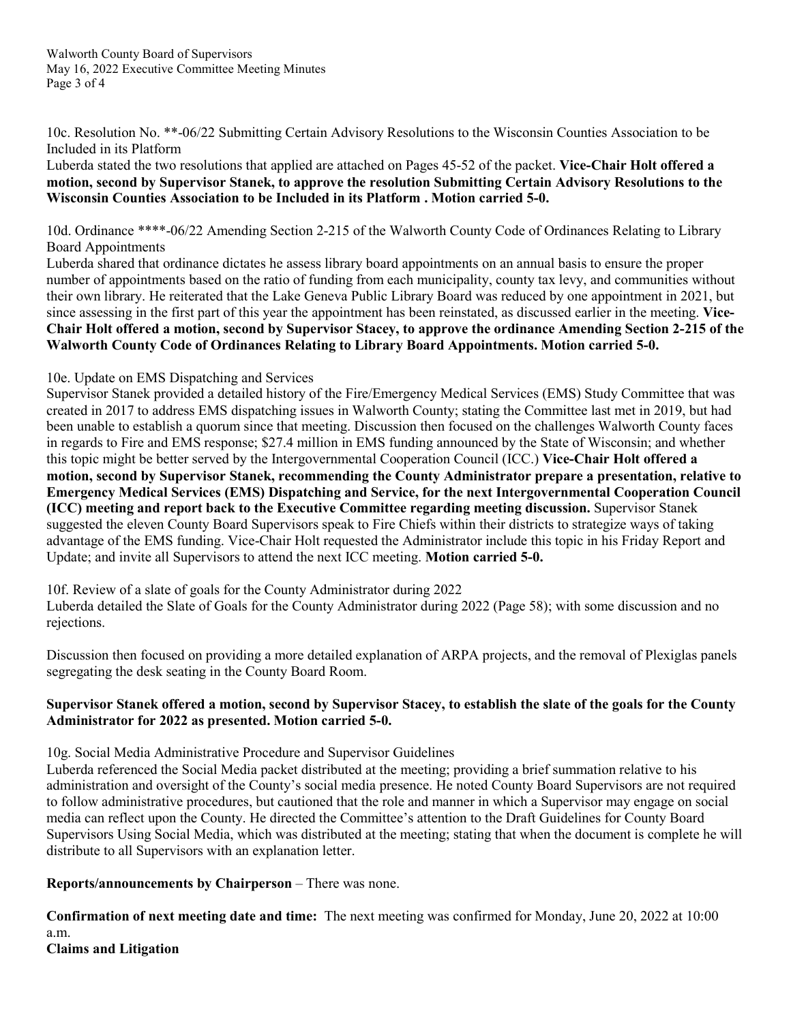10c. Resolution No. \*\*-06/22 Submitting Certain Advisory Resolutions to the Wisconsin Counties Association to be Included in its Platform

Luberda stated the two resolutions that applied are attached on Pages 45-52 of the packet. **Vice-Chair Holt offered a motion, second by Supervisor Stanek, to approve the resolution Submitting Certain Advisory Resolutions to the Wisconsin Counties Association to be Included in its Platform . Motion carried 5-0.**

10d. Ordinance \*\*\*\*-06/22 Amending Section 2-215 of the Walworth County Code of Ordinances Relating to Library Board Appointments

Luberda shared that ordinance dictates he assess library board appointments on an annual basis to ensure the proper number of appointments based on the ratio of funding from each municipality, county tax levy, and communities without their own library. He reiterated that the Lake Geneva Public Library Board was reduced by one appointment in 2021, but since assessing in the first part of this year the appointment has been reinstated, as discussed earlier in the meeting. **Vice-Chair Holt offered a motion, second by Supervisor Stacey, to approve the ordinance Amending Section 2-215 of the Walworth County Code of Ordinances Relating to Library Board Appointments. Motion carried 5-0.**

# 10e. Update on EMS Dispatching and Services

Supervisor Stanek provided a detailed history of the Fire/Emergency Medical Services (EMS) Study Committee that was created in 2017 to address EMS dispatching issues in Walworth County; stating the Committee last met in 2019, but had been unable to establish a quorum since that meeting. Discussion then focused on the challenges Walworth County faces in regards to Fire and EMS response; \$27.4 million in EMS funding announced by the State of Wisconsin; and whether this topic might be better served by the Intergovernmental Cooperation Council (ICC.) **Vice-Chair Holt offered a motion, second by Supervisor Stanek, recommending the County Administrator prepare a presentation, relative to Emergency Medical Services (EMS) Dispatching and Service, for the next Intergovernmental Cooperation Council (ICC) meeting and report back to the Executive Committee regarding meeting discussion.** Supervisor Stanek suggested the eleven County Board Supervisors speak to Fire Chiefs within their districts to strategize ways of taking advantage of the EMS funding. Vice-Chair Holt requested the Administrator include this topic in his Friday Report and Update; and invite all Supervisors to attend the next ICC meeting. **Motion carried 5-0.**

10f. Review of a slate of goals for the County Administrator during 2022

Luberda detailed the Slate of Goals for the County Administrator during 2022 (Page 58); with some discussion and no rejections.

Discussion then focused on providing a more detailed explanation of ARPA projects, and the removal of Plexiglas panels segregating the desk seating in the County Board Room.

# **Supervisor Stanek offered a motion, second by Supervisor Stacey, to establish the slate of the goals for the County Administrator for 2022 as presented. Motion carried 5-0.**

10g. Social Media Administrative Procedure and Supervisor Guidelines

Luberda referenced the Social Media packet distributed at the meeting; providing a brief summation relative to his administration and oversight of the County's social media presence. He noted County Board Supervisors are not required to follow administrative procedures, but cautioned that the role and manner in which a Supervisor may engage on social media can reflect upon the County. He directed the Committee's attention to the Draft Guidelines for County Board Supervisors Using Social Media, which was distributed at the meeting; stating that when the document is complete he will distribute to all Supervisors with an explanation letter.

**Reports/announcements by Chairperson** – There was none.

**Confirmation of next meeting date and time:** The next meeting was confirmed for Monday, June 20, 2022 at 10:00 a.m.

**Claims and Litigation**